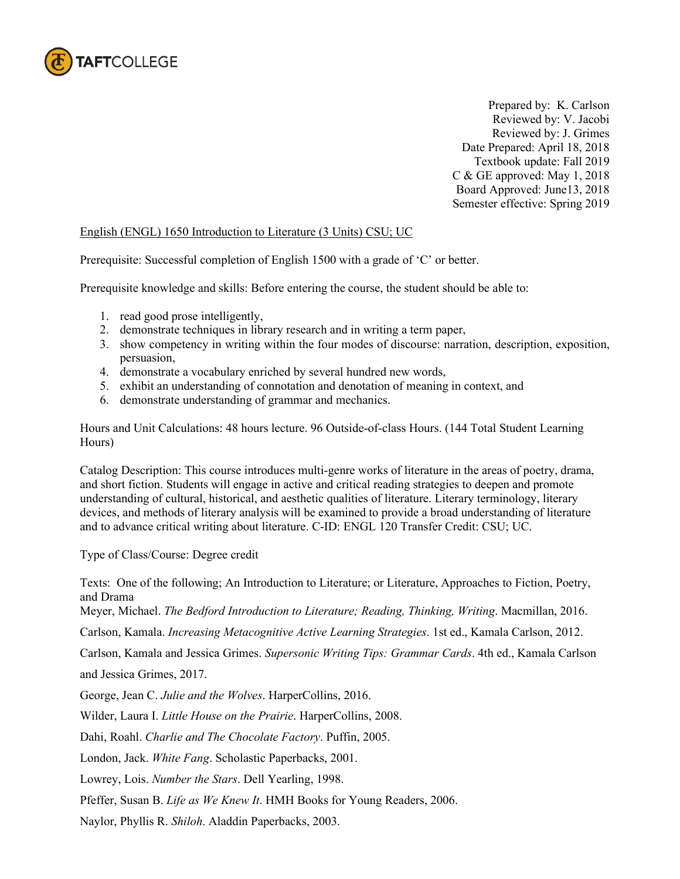

Prepared by: K. Carlson Reviewed by: V. Jacobi Reviewed by: J. Grimes Date Prepared: April 18, 2018 Textbook update: Fall 2019 C & GE approved: May 1, 2018 Board Approved: June13, 2018 Semester effective: Spring 2019

## English (ENGL) 1650 Introduction to Literature (3 Units) CSU; UC

Prerequisite: Successful completion of English 1500 with a grade of 'C' or better.

Prerequisite knowledge and skills: Before entering the course, the student should be able to:

- 1. read good prose intelligently,
- 2. demonstrate techniques in library research and in writing a term paper,
- 3. show competency in writing within the four modes of discourse: narration, description, exposition, persuasion,
- 4. demonstrate a vocabulary enriched by several hundred new words,
- 5. exhibit an understanding of connotation and denotation of meaning in context, and
- 6. demonstrate understanding of grammar and mechanics.

Hours and Unit Calculations: 48 hours lecture. 96 Outside-of-class Hours. (144 Total Student Learning Hours)

Catalog Description: This course introduces multi-genre works of literature in the areas of poetry, drama, and short fiction. Students will engage in active and critical reading strategies to deepen and promote understanding of cultural, historical, and aesthetic qualities of literature. Literary terminology, literary devices, and methods of literary analysis will be examined to provide a broad understanding of literature and to advance critical writing about literature. C-ID: ENGL 120 Transfer Credit: CSU; UC.

Type of Class/Course: Degree credit

Texts: One of the following; An Introduction to Literature; or Literature, Approaches to Fiction, Poetry, and Drama Meyer, Michael. *The Bedford Introduction to Literature; Reading, Thinking, Writing*. Macmillan, 2016. Carlson, Kamala. *Increasing Metacognitive Active Learning Strategies*. 1st ed., Kamala Carlson, 2012. Carlson, Kamala and Jessica Grimes. *Supersonic Writing Tips: Grammar Cards*. 4th ed., Kamala Carlson and Jessica Grimes, 2017. George, Jean C. *Julie and the Wolves*. HarperCollins, 2016. Wilder, Laura I. *Little House on the Prairie*. HarperCollins, 2008. Dahi, Roahl. *Charlie and The Chocolate Factory*. Puffin, 2005. London, Jack. *White Fang*. Scholastic Paperbacks, 2001. Lowrey, Lois. *Number the Stars*. Dell Yearling, 1998.

Pfeffer, Susan B. *Life as We Knew It*. HMH Books for Young Readers, 2006.

Naylor, Phyllis R. *Shiloh*. Aladdin Paperbacks, 2003.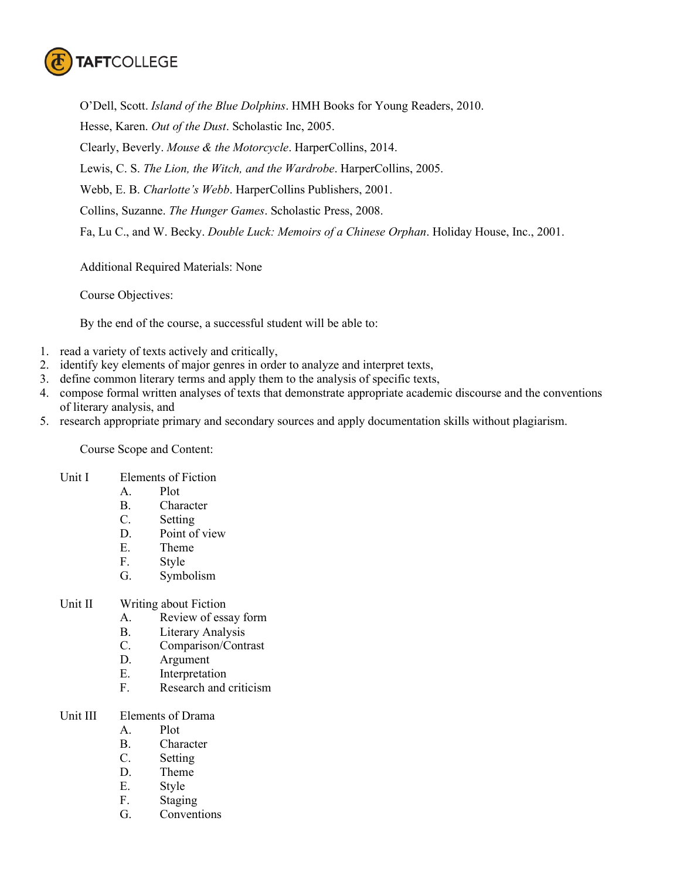

O'Dell, Scott. *Island of the Blue Dolphins*. HMH Books for Young Readers, 2010. Hesse, Karen. *Out of the Dust*. Scholastic Inc, 2005. Clearly, Beverly. *Mouse & the Motorcycle*. HarperCollins, 2014. Lewis, C. S. *The Lion, the Witch, and the Wardrobe*. HarperCollins, 2005. Webb, E. B. *Charlotte's Webb*. HarperCollins Publishers, 2001. Collins, Suzanne. *The Hunger Games*. Scholastic Press, 2008. Fa, Lu C., and W. Becky. *Double Luck: Memoirs of a Chinese Orphan*. Holiday House, Inc., 2001.

Additional Required Materials: None

Course Objectives:

By the end of the course, a successful student will be able to:

- 1. read a variety of texts actively and critically,
- 2. identify key elements of major genres in order to analyze and interpret texts,
- 3. define common literary terms and apply them to the analysis of specific texts,
- 4. compose formal written analyses of texts that demonstrate appropriate academic discourse and the conventions of literary analysis, and
- 5. research appropriate primary and secondary sources and apply documentation skills without plagiarism.

Course Scope and Content:

- Unit I Elements of Fiction
	- A. Plot
	- B. Character
	- C. Setting
	- D. Point of view
	- E. Theme
	- F. Style
	- G. Symbolism
- Unit II Writing about Fiction
	- A. Review of essay form
	- B. Literary Analysis
	- C. Comparison/Contrast
	- D. Argument
	- E. Interpretation
	- F. Research and criticism
- Unit III Elements of Drama
	- A. Plot
	- B. Character
	- C. Setting
	- D. Theme
	- E. Style
	- F. Staging
	- G. Conventions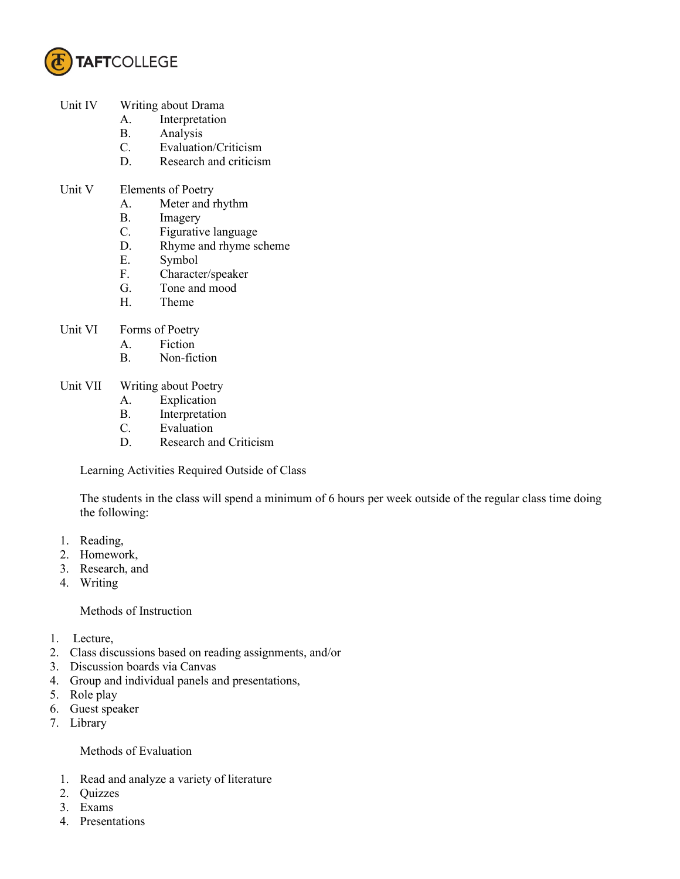

- Unit IV Writing about Drama
	- A. Interpretation
	- B. Analysis
	- C. Evaluation/Criticism
	- D. Research and criticism
- Unit V Elements of Poetry
	- A. Meter and rhythm
	- B. Imagery
	- C. Figurative language
	- D. Rhyme and rhyme scheme
	- E. Symbol
	- F. Character/speaker
	- G. Tone and mood
	- H. Theme
- Unit VI Forms of Poetry
	- A. Fiction
	- B. Non-fiction
- Unit VII Writing about Poetry
	- A. Explication
	- B. Interpretation<br>C. Evaluation
	- **Evaluation**
	- D. Research and Criticism

Learning Activities Required Outside of Class

The students in the class will spend a minimum of 6 hours per week outside of the regular class time doing the following:

- 1. Reading,
- 2. Homework,
- 3. Research, and
- 4. Writing

## Methods of Instruction

- 1. Lecture,
- 2. Class discussions based on reading assignments, and/or
- 3. Discussion boards via Canvas
- 4. Group and individual panels and presentations,
- 5. Role play
- 6. Guest speaker
- 7. Library

## Methods of Evaluation

- 1. Read and analyze a variety of literature
- 2. Quizzes
- 3. Exams
- 4. Presentations